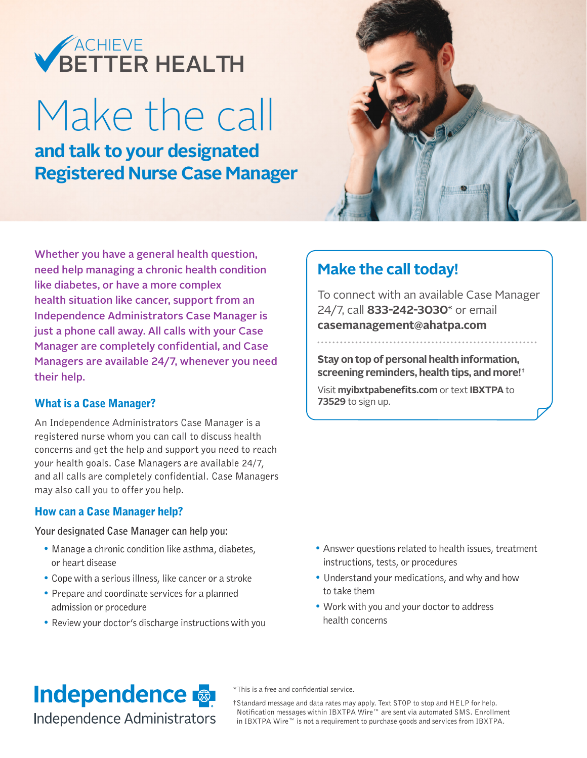## BETTER HEALTH ACHIEVE

# Make the call

**and talk to your designated Registered Nurse Case Manager**



Whether you have a general health question, need help managing a chronic health condition like diabetes, or have a more complex health situation like cancer, support from an Independence Administrators Case Manager is just a phone call away. All calls with your Case Manager are completely confidential, and Case Managers are available 24/7, whenever you need their help.

#### What is a Case Manager?

An Independence Administrators Case Manager is a registered nurse whom you can call to discuss health concerns and get the help and support you need to reach your health goals. Case Managers are available 24/7, and all calls are completely confidential. Case Managers may also call you to offer you help.

#### How can a Case Manager help?

#### **Your designated Case Manager can help you:**

- Manage a chronic condition like asthma, diabetes, or heart disease
- Cope with a serious illness, like cancer or a stroke
- Prepare and coordinate services for a planned admission or procedure
- Review your doctor's discharge instructions with you

### **Make the call today!**

To connect with an available Case Manager 24/7, call **833-242-3030**\* or email **casemanagement@ahatpa.com**

**Stay on top of personal health information, screening reminders, health tips, and more!†**

Visit **myibxtpabenefits.com** or text **IBXTPA** to **73529** to sign up.

- Answer questions related to health issues, treatment instructions, tests, or procedures
- Understand your medications, and why and how to take them
- Work with you and your doctor to address health concerns

## **Independence**

Independence Administrators

\*This is a free and confidential service.

†Standard message and data rates may apply. Text STOP to stop and HELP for help. Notification messages within IBXTPA Wire™ are sent via automated SMS. Enrollment in IBXTPA Wire™ is not a requirement to purchase goods and services from IBXTPA.